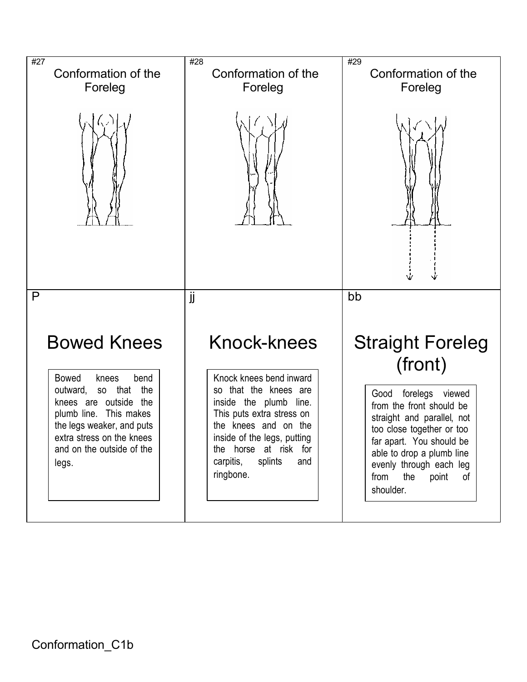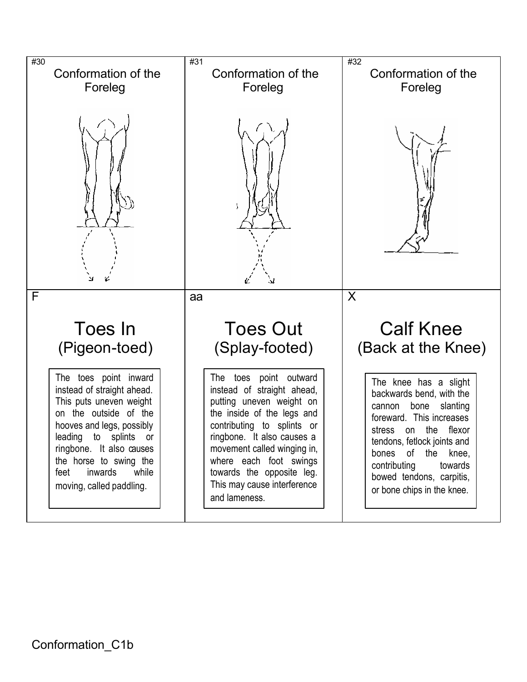